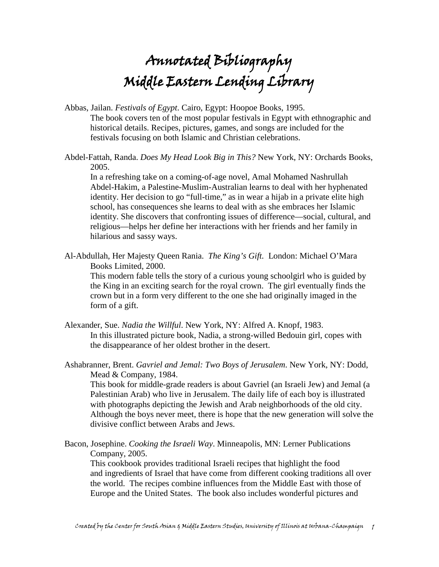## Annotated Bibliography Middle Eastern Lending Library

Abbas, Jailan. *Festivals of Egypt*. Cairo, Egypt: Hoopoe Books, 1995. The book covers ten of the most popular festivals in Egypt with ethnographic and historical details. Recipes, pictures, games, and songs are included for the festivals focusing on both Islamic and Christian celebrations.

Abdel-Fattah, Randa. *Does My Head Look Big in This?* New York, NY: Orchards Books, 2005.

In a refreshing take on a coming-of-age novel, Amal Mohamed Nashrullah Abdel-Hakim, a Palestine-Muslim-Australian learns to deal with her hyphenated identity. Her decision to go "full-time," as in wear a hijab in a private elite high school, has consequences she learns to deal with as she embraces her Islamic identity. She discovers that confronting issues of difference—social, cultural, and religious—helps her define her interactions with her friends and her family in hilarious and sassy ways.

Al-Abdullah, Her Majesty Queen Rania. *The King's Gift.* London: Michael O'Mara Books Limited, 2000.

This modern fable tells the story of a curious young schoolgirl who is guided by the King in an exciting search for the royal crown. The girl eventually finds the crown but in a form very different to the one she had originally imaged in the form of a gift.

- Alexander, Sue. *Nadia the Willful*. New York, NY: Alfred A. Knopf, 1983. In this illustrated picture book, Nadia, a strong-willed Bedouin girl, copes with the disappearance of her oldest brother in the desert.
- Ashabranner, Brent. *Gavriel and Jemal: Two Boys of Jerusalem*. New York, NY: Dodd, Mead & Company, 1984.

 This book for middle-grade readers is about Gavriel (an Israeli Jew) and Jemal (a Palestinian Arab) who live in Jerusalem. The daily life of each boy is illustrated with photographs depicting the Jewish and Arab neighborhoods of the old city. Although the boys never meet, there is hope that the new generation will solve the divisive conflict between Arabs and Jews.

Bacon, Josephine. *Cooking the Israeli Way*. Minneapolis, MN: Lerner Publications Company, 2005.

This cookbook provides traditional Israeli recipes that highlight the food and ingredients of Israel that have come from different cooking traditions all over the world. The recipes combine influences from the Middle East with those of Europe and the United States. The book also includes wonderful pictures and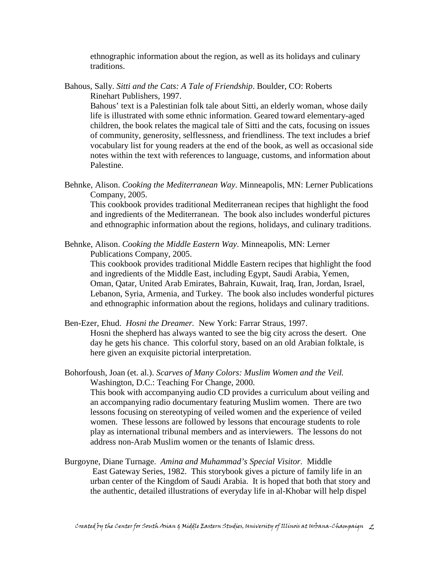ethnographic information about the region, as well as its holidays and culinary traditions.

Bahous, Sally. *Sitti and the Cats: A Tale of Friendship*. Boulder, CO: Roberts Rinehart Publishers, 1997.

Bahous' text is a Palestinian folk tale about Sitti, an elderly woman, whose daily life is illustrated with some ethnic information. Geared toward elementary-aged children, the book relates the magical tale of Sitti and the cats, focusing on issues of community, generosity, selflessness, and friendliness. The text includes a brief vocabulary list for young readers at the end of the book, as well as occasional side notes within the text with references to language, customs, and information about Palestine.

Behnke, Alison. *Cooking the Mediterranean Way*. Minneapolis, MN: Lerner Publications Company, 2005.

This cookbook provides traditional Mediterranean recipes that highlight the food and ingredients of the Mediterranean. The book also includes wonderful pictures and ethnographic information about the regions, holidays, and culinary traditions.

Behnke, Alison. *Cooking the Middle Eastern Way*. Minneapolis, MN: Lerner Publications Company, 2005.

This cookbook provides traditional Middle Eastern recipes that highlight the food and ingredients of the Middle East, including Egypt, Saudi Arabia, Yemen, Oman, Qatar, United Arab Emirates, Bahrain, Kuwait, Iraq, Iran, Jordan, Israel, Lebanon, Syria, Armenia, and Turkey. The book also includes wonderful pictures and ethnographic information about the regions, holidays and culinary traditions.

Ben-Ezer, Ehud. *Hosni the Dreamer.* New York: Farrar Straus, 1997. Hosni the shepherd has always wanted to see the big city across the desert. One day he gets his chance. This colorful story, based on an old Arabian folktale, is here given an exquisite pictorial interpretation.

Bohorfoush, Joan (et. al.). *Scarves of Many Colors: Muslim Women and the Veil.* Washington, D.C.: Teaching For Change, 2000. This book with accompanying audio CD provides a curriculum about veiling and an accompanying radio documentary featuring Muslim women. There are two lessons focusing on stereotyping of veiled women and the experience of veiled women. These lessons are followed by lessons that encourage students to role play as international tribunal members and as interviewers. The lessons do not address non-Arab Muslim women or the tenants of Islamic dress.

Burgoyne, Diane Turnage. *Amina and Muhammad's Special Visitor.* Middle East Gateway Series, 1982. This storybook gives a picture of family life in an urban center of the Kingdom of Saudi Arabia. It is hoped that both that story and the authentic, detailed illustrations of everyday life in al-Khobar will help dispel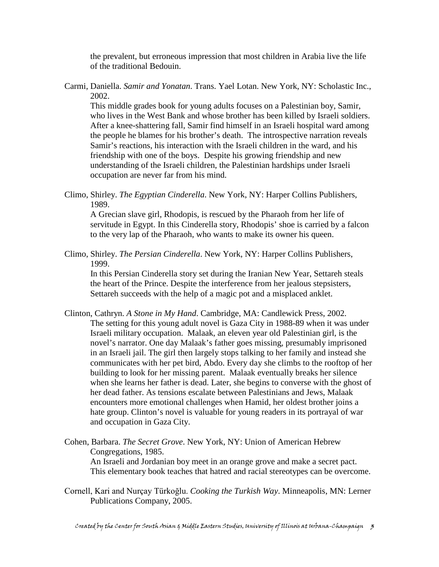the prevalent, but erroneous impression that most children in Arabia live the life of the traditional Bedouin.

Carmi, Daniella. *Samir and Yonatan*. Trans. Yael Lotan. New York, NY: Scholastic Inc., 2002.

This middle grades book for young adults focuses on a Palestinian boy, Samir, who lives in the West Bank and whose brother has been killed by Israeli soldiers. After a knee-shattering fall, Samir find himself in an Israeli hospital ward among the people he blames for his brother's death. The introspective narration reveals Samir's reactions, his interaction with the Israeli children in the ward, and his friendship with one of the boys. Despite his growing friendship and new understanding of the Israeli children, the Palestinian hardships under Israeli occupation are never far from his mind.

Climo, Shirley. *The Egyptian Cinderella*. New York, NY: Harper Collins Publishers, 1989.

A Grecian slave girl, Rhodopis, is rescued by the Pharaoh from her life of servitude in Egypt. In this Cinderella story, Rhodopis' shoe is carried by a falcon to the very lap of the Pharaoh, who wants to make its owner his queen.

Climo, Shirley. *The Persian Cinderella*. New York, NY: Harper Collins Publishers, 1999.

 In this Persian Cinderella story set during the Iranian New Year, Settareh steals the heart of the Prince. Despite the interference from her jealous stepsisters, Settareh succeeds with the help of a magic pot and a misplaced anklet.

- Clinton, Cathryn. *A Stone in My Hand*. Cambridge, MA: Candlewick Press, 2002. The setting for this young adult novel is Gaza City in 1988-89 when it was under Israeli military occupation. Malaak, an eleven year old Palestinian girl, is the novel's narrator. One day Malaak's father goes missing, presumably imprisoned in an Israeli jail. The girl then largely stops talking to her family and instead she communicates with her pet bird, Abdo. Every day she climbs to the rooftop of her building to look for her missing parent. Malaak eventually breaks her silence when she learns her father is dead. Later, she begins to converse with the ghost of her dead father. As tensions escalate between Palestinians and Jews, Malaak encounters more emotional challenges when Hamid, her oldest brother joins a hate group. Clinton's novel is valuable for young readers in its portrayal of war and occupation in Gaza City.
- Cohen, Barbara. *The Secret Grove*. New York, NY: Union of American Hebrew Congregations, 1985.

 An Israeli and Jordanian boy meet in an orange grove and make a secret pact. This elementary book teaches that hatred and racial stereotypes can be overcome.

Cornell, Kari and Nurçay Türkoğlu. *Cooking the Turkish Way*. Minneapolis, MN: Lerner Publications Company, 2005.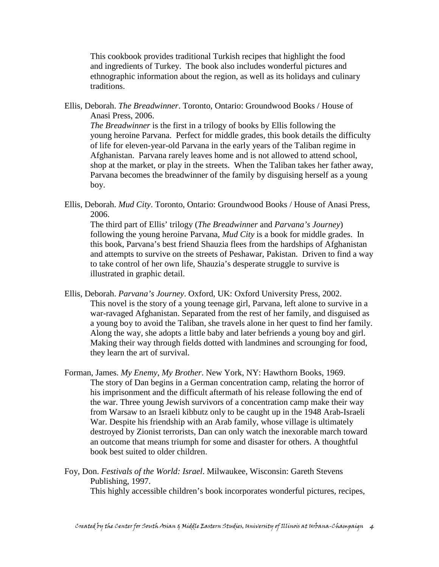This cookbook provides traditional Turkish recipes that highlight the food and ingredients of Turkey. The book also includes wonderful pictures and ethnographic information about the region, as well as its holidays and culinary traditions.

Ellis, Deborah. *The Breadwinner*. Toronto, Ontario: Groundwood Books / House of Anasi Press, 2006.

*The Breadwinner* is the first in a trilogy of books by Ellis following the young heroine Parvana. Perfect for middle grades, this book details the difficulty of life for eleven-year-old Parvana in the early years of the Taliban regime in Afghanistan. Parvana rarely leaves home and is not allowed to attend school, shop at the market, or play in the streets. When the Taliban takes her father away, Parvana becomes the breadwinner of the family by disguising herself as a young boy.

Ellis, Deborah. *Mud City*. Toronto, Ontario: Groundwood Books / House of Anasi Press, 2006.

The third part of Ellis' trilogy (*The Breadwinner* and *Parvana's Journey*) following the young heroine Parvana, *Mud City* is a book for middle grades. In this book, Parvana's best friend Shauzia flees from the hardships of Afghanistan and attempts to survive on the streets of Peshawar, Pakistan. Driven to find a way to take control of her own life, Shauzia's desperate struggle to survive is illustrated in graphic detail.

- Ellis, Deborah. *Parvana's Journey*. Oxford, UK: Oxford University Press, 2002. This novel is the story of a young teenage girl, Parvana, left alone to survive in a war-ravaged Afghanistan. Separated from the rest of her family, and disguised as a young boy to avoid the Taliban, she travels alone in her quest to find her family. Along the way, she adopts a little baby and later befriends a young boy and girl. Making their way through fields dotted with landmines and scrounging for food, they learn the art of survival.
- Forman, James. *My Enemy, My Brother*. New York, NY: Hawthorn Books, 1969. The story of Dan begins in a German concentration camp, relating the horror of his imprisonment and the difficult aftermath of his release following the end of the war. Three young Jewish survivors of a concentration camp make their way from Warsaw to an Israeli kibbutz only to be caught up in the 1948 Arab-Israeli War. Despite his friendship with an Arab family, whose village is ultimately destroyed by Zionist terrorists, Dan can only watch the inexorable march toward an outcome that means triumph for some and disaster for others. A thoughtful book best suited to older children.
- Foy, Don. *Festivals of the World: Israel*. Milwaukee, Wisconsin: Gareth Stevens Publishing, 1997. This highly accessible children's book incorporates wonderful pictures, recipes,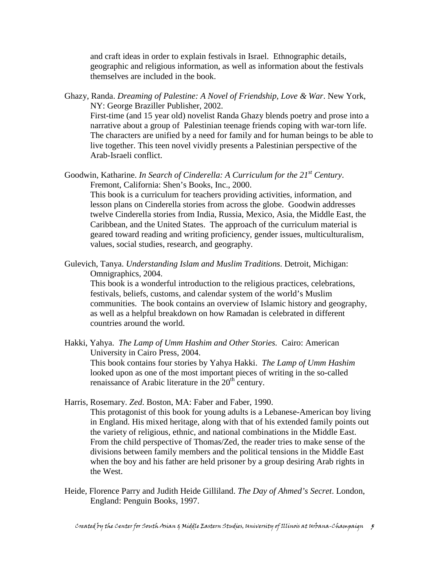and craft ideas in order to explain festivals in Israel. Ethnographic details, geographic and religious information, as well as information about the festivals themselves are included in the book.

Ghazy, Randa. *Dreaming of Palestine: A Novel of Friendship, Love & War*. New York, NY: George Braziller Publisher, 2002.

First-time (and 15 year old) novelist Randa Ghazy blends poetry and prose into a narrative about a group of Palestinian teenage friends coping with war-torn life. The characters are unified by a need for family and for human beings to be able to live together. This teen novel vividly presents a Palestinian perspective of the Arab-Israeli conflict.

Goodwin, Katharine. *In Search of Cinderella: A Curriculum for the 21st Century*. Fremont, California: Shen's Books, Inc., 2000. This book is a curriculum for teachers providing activities, information, and

lesson plans on Cinderella stories from across the globe. Goodwin addresses twelve Cinderella stories from India, Russia, Mexico, Asia, the Middle East, the Caribbean, and the United States. The approach of the curriculum material is geared toward reading and writing proficiency, gender issues, multiculturalism, values, social studies, research, and geography.

Gulevich, Tanya. *Understanding Islam and Muslim Traditions*. Detroit, Michigan: Omnigraphics, 2004.

This book is a wonderful introduction to the religious practices, celebrations, festivals, beliefs, customs, and calendar system of the world's Muslim communities. The book contains an overview of Islamic history and geography, as well as a helpful breakdown on how Ramadan is celebrated in different countries around the world.

Hakki, Yahya. *The Lamp of Umm Hashim and Other Stories.* Cairo: American University in Cairo Press, 2004.

This book contains four stories by Yahya Hakki. *The Lamp of Umm Hashim* looked upon as one of the most important pieces of writing in the so-called renaissance of Arabic literature in the 20<sup>th</sup> century.

- Harris, Rosemary. *Zed*. Boston, MA: Faber and Faber, 1990.
	- This protagonist of this book for young adults is a Lebanese-American boy living in England. His mixed heritage, along with that of his extended family points out the variety of religious, ethnic, and national combinations in the Middle East. From the child perspective of Thomas/Zed, the reader tries to make sense of the divisions between family members and the political tensions in the Middle East when the boy and his father are held prisoner by a group desiring Arab rights in the West.
- Heide, Florence Parry and Judith Heide Gilliland. *The Day of Ahmed's Secret*. London, England: Penguin Books, 1997.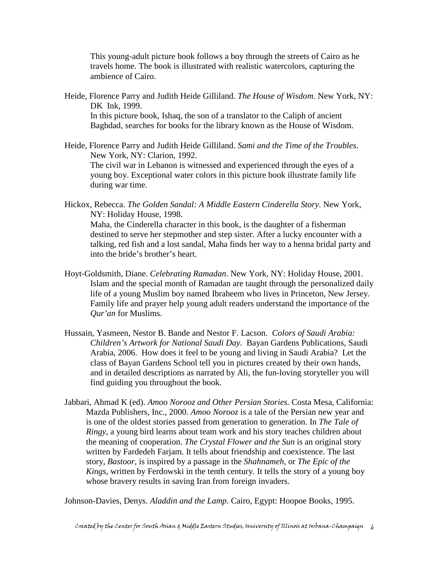This young-adult picture book follows a boy through the streets of Cairo as he travels home. The book is illustrated with realistic watercolors, capturing the ambience of Cairo.

Heide, Florence Parry and Judith Heide Gilliland. *The House of Wisdom*. New York, NY: DK Ink, 1999.

 In this picture book, Ishaq, the son of a translator to the Caliph of ancient Baghdad, searches for books for the library known as the House of Wisdom.

- Heide, Florence Parry and Judith Heide Gilliland. *Sami and the Time of the Troubles*. New York, NY: Clarion, 1992. The civil war in Lebanon is witnessed and experienced through the eyes of a young boy. Exceptional water colors in this picture book illustrate family life during war time.
- Hickox, Rebecca. *The Golden Sandal: A Middle Eastern Cinderella Story*. New York, NY: Holiday House, 1998.

Maha, the Cinderella character in this book, is the daughter of a fisherman destined to serve her stepmother and step sister. After a lucky encounter with a talking, red fish and a lost sandal, Maha finds her way to a henna bridal party and into the bride's brother's heart.

- Hoyt-Goldsmith, Diane. *Celebrating Ramadan*. New York, NY: Holiday House, 2001. Islam and the special month of Ramadan are taught through the personalized daily life of a young Muslim boy named Ibraheem who lives in Princeton, New Jersey. Family life and prayer help young adult readers understand the importance of the *Qur'an* for Muslims.
- Hussain, Yasmeen, Nestor B. Bande and Nestor F. Lacson. *Colors of Saudi Arabia: Children's Artwork for National Saudi Day.* Bayan Gardens Publications, Saudi Arabia, 2006. How does it feel to be young and living in Saudi Arabia? Let the class of Bayan Gardens School tell you in pictures created by their own hands, and in detailed descriptions as narrated by Ali, the fun-loving storyteller you will find guiding you throughout the book.
- Jabbari, Ahmad K (ed). *Amoo Norooz and Other Persian Stories.* Costa Mesa, California: Mazda Publishers, Inc., 2000. *Amoo Norooz* is a tale of the Persian new year and is one of the oldest stories passed from generation to generation. In *The Tale of Ringy*, a young bird learns about team work and his story teaches children about the meaning of cooperation. *The Crystal Flower and the Sun* is an original story written by Fardedeh Farjam. It tells about friendship and coexistence. The last story, *Bastoor,* is inspired by a passage in the *Shahnameh,* or *The Epic of the Kings,* written by Ferdowski in the tenth century. It tells the story of a young boy whose bravery results in saving Iran from foreign invaders.

Johnson-Davies, Denys. *Aladdin and the Lamp*. Cairo, Egypt: Hoopoe Books, 1995.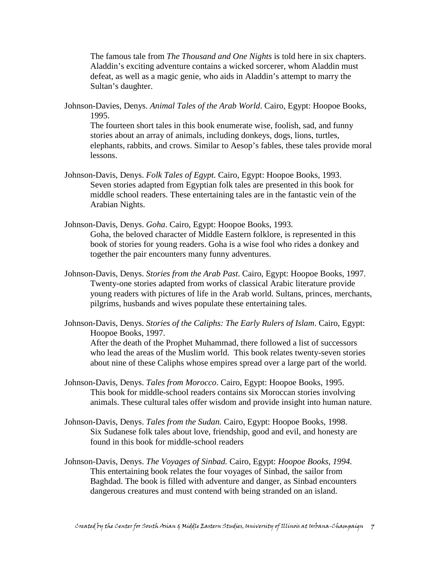The famous tale from *The Thousand and One Nights* is told here in six chapters. Aladdin's exciting adventure contains a wicked sorcerer, whom Aladdin must defeat, as well as a magic genie, who aids in Aladdin's attempt to marry the Sultan's daughter.

Johnson-Davies, Denys. *Animal Tales of the Arab World*. Cairo, Egypt: Hoopoe Books, 1995.

The fourteen short tales in this book enumerate wise, foolish, sad, and funny stories about an array of animals, including donkeys, dogs, lions, turtles, elephants, rabbits, and crows. Similar to Aesop's fables, these tales provide moral lessons.

- Johnson-Davis, Denys. *Folk Tales of Egypt.* Cairo, Egypt: Hoopoe Books, 1993. Seven stories adapted from Egyptian folk tales are presented in this book for middle school readers. These entertaining tales are in the fantastic vein of the Arabian Nights.
- Johnson-Davis, Denys. *Goha*. Cairo, Egypt: Hoopoe Books, 1993. Goha, the beloved character of Middle Eastern folklore, is represented in this book of stories for young readers. Goha is a wise fool who rides a donkey and together the pair encounters many funny adventures.
- Johnson-Davis, Denys. *Stories from the Arab Past*. Cairo, Egypt: Hoopoe Books, 1997. Twenty-one stories adapted from works of classical Arabic literature provide young readers with pictures of life in the Arab world. Sultans, princes, merchants, pilgrims, husbands and wives populate these entertaining tales.
- Johnson-Davis, Denys. *Stories of the Caliphs: The Early Rulers of Islam*. Cairo, Egypt: Hoopoe Books, 1997.

After the death of the Prophet Muhammad, there followed a list of successors who lead the areas of the Muslim world. This book relates twenty-seven stories about nine of these Caliphs whose empires spread over a large part of the world.

- Johnson-Davis, Denys. *Tales from Morocco*. Cairo, Egypt: Hoopoe Books, 1995. This book for middle-school readers contains six Moroccan stories involving animals. These cultural tales offer wisdom and provide insight into human nature.
- Johnson-Davis, Denys. *Tales from the Sudan.* Cairo, Egypt: Hoopoe Books, 1998. Six Sudanese folk tales about love, friendship, good and evil, and honesty are found in this book for middle-school readers
- Johnson-Davis, Denys. *The Voyages of Sinbad.* Cairo, Egypt: *Hoopoe Books, 1994.*  This entertaining book relates the four voyages of Sinbad, the sailor from Baghdad. The book is filled with adventure and danger, as Sinbad encounters dangerous creatures and must contend with being stranded on an island.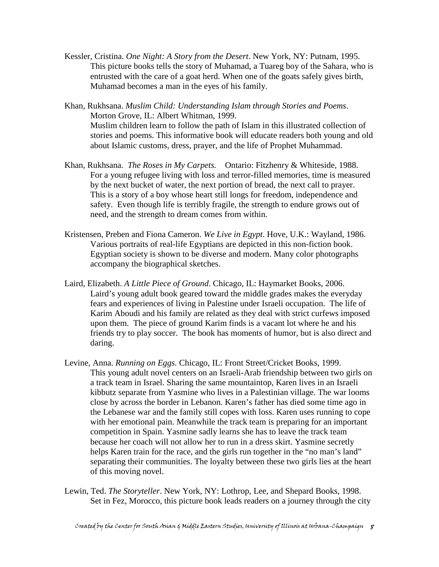Kessler, Cristina. *One Night: A Story from the Desert*. New York, NY: Putnam, 1995. This picture books tells the story of Muhamad, a Tuareg boy of the Sahara, who is entrusted with the care of a goat herd. When one of the goats safely gives birth, Muhamad becomes a man in the eyes of his family.

Khan, Rukhsana. *Muslim Child: Understanding Islam through Stories and Poems*. Morton Grove, IL: Albert Whitman, 1999. Muslim children learn to follow the path of Islam in this illustrated collection of stories and poems. This informative book will educate readers both young and old about Islamic customs, dress, prayer, and the life of Prophet Muhammad.

- Khan, Rukhsana. *The Roses in My Carpets.* Ontario: Fitzhenry & Whiteside, 1988. For a young refugee living with loss and terror-filled memories, time is measured by the next bucket of water, the next portion of bread, the next call to prayer. This is a story of a boy whose heart still longs for freedom, independence and safety. Even though life is terribly fragile, the strength to endure grows out of need, and the strength to dream comes from within.
- Kristensen, Preben and Fiona Cameron. *We Live in Egypt*. Hove, U.K.: Wayland, 1986. Various portraits of real-life Egyptians are depicted in this non-fiction book. Egyptian society is shown to be diverse and modern. Many color photographs accompany the biographical sketches.
- Laird, Elizabeth. *A Little Piece of Ground*. Chicago, IL: Haymarket Books, 2006. Laird's young adult book geared toward the middle grades makes the everyday fears and experiences of living in Palestine under Israeli occupation. The life of Karim Aboudi and his family are related as they deal with strict curfews imposed upon them. The piece of ground Karim finds is a vacant lot where he and his friends try to play soccer. The book has moments of humor, but is also direct and daring.
- Levine, Anna. *Running on Eggs.* Chicago, IL: Front Street/Cricket Books, 1999. This young adult novel centers on an Israeli-Arab friendship between two girls on a track team in Israel. Sharing the same mountaintop, Karen lives in an Israeli kibbutz separate from Yasmine who lives in a Palestinian village. The war looms close by across the border in Lebanon. Karen's father has died some time ago in the Lebanese war and the family still copes with loss. Karen uses running to cope with her emotional pain. Meanwhile the track team is preparing for an important competition in Spain. Yasmine sadly learns she has to leave the track team because her coach will not allow her to run in a dress skirt. Yasmine secretly helps Karen train for the race, and the girls run together in the "no man's land" separating their communities. The loyalty between these two girls lies at the heart of this moving novel.
- Lewin, Ted. *The Storyteller*. New York, NY: Lothrop, Lee, and Shepard Books, 1998. Set in Fez, Morocco, this picture book leads readers on a journey through the city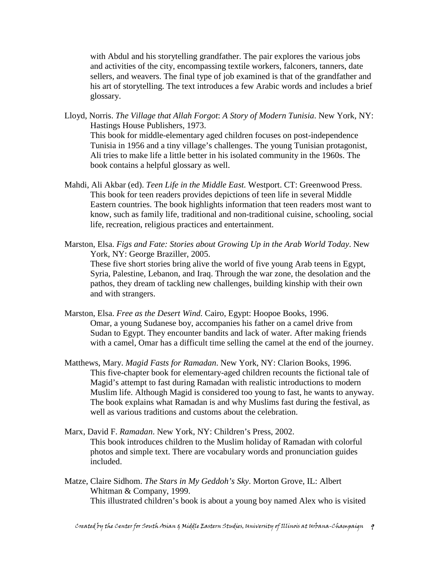with Abdul and his storytelling grandfather. The pair explores the various jobs and activities of the city, encompassing textile workers, falconers, tanners, date sellers, and weavers. The final type of job examined is that of the grandfather and his art of storytelling. The text introduces a few Arabic words and includes a brief glossary.

- Lloyd, Norris. *The Village that Allah Forgot*: *A Story of Modern Tunisia*. New York, NY: Hastings House Publishers, 1973. This book for middle-elementary aged children focuses on post-independence Tunisia in 1956 and a tiny village's challenges. The young Tunisian protagonist, Ali tries to make life a little better in his isolated community in the 1960s. The book contains a helpful glossary as well.
- Mahdi, Ali Akbar (ed). *Teen Life in the Middle East.* Westport. CT: Greenwood Press. This book for teen readers provides depictions of teen life in several Middle Eastern countries. The book highlights information that teen readers most want to know, such as family life, traditional and non-traditional cuisine, schooling, social life, recreation, religious practices and entertainment.
- Marston, Elsa. *Figs and Fate: Stories about Growing Up in the Arab World Today*. New York, NY: George Braziller, 2005. These five short stories bring alive the world of five young Arab teens in Egypt,

Syria, Palestine, Lebanon, and Iraq. Through the war zone, the desolation and the pathos, they dream of tackling new challenges, building kinship with their own and with strangers.

- Marston, Elsa. *Free as the Desert Wind.* Cairo, Egypt: Hoopoe Books, 1996. Omar, a young Sudanese boy, accompanies his father on a camel drive from Sudan to Egypt. They encounter bandits and lack of water. After making friends with a camel, Omar has a difficult time selling the camel at the end of the journey.
- Matthews, Mary. *Magid Fasts for Ramadan*. New York, NY: Clarion Books, 1996. This five-chapter book for elementary-aged children recounts the fictional tale of Magid's attempt to fast during Ramadan with realistic introductions to modern Muslim life. Although Magid is considered too young to fast, he wants to anyway. The book explains what Ramadan is and why Muslims fast during the festival, as well as various traditions and customs about the celebration.
- Marx, David F. *Ramadan*. New York, NY: Children's Press, 2002. This book introduces children to the Muslim holiday of Ramadan with colorful photos and simple text. There are vocabulary words and pronunciation guides included.
- Matze, Claire Sidhom. *The Stars in My Geddoh's Sky*. Morton Grove, IL: Albert Whitman & Company, 1999. This illustrated children's book is about a young boy named Alex who is visited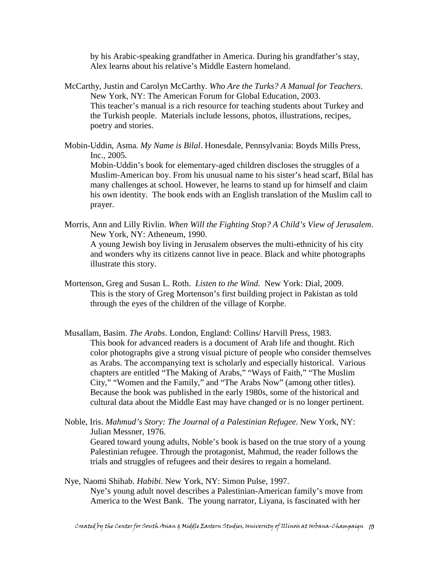by his Arabic-speaking grandfather in America. During his grandfather's stay, Alex learns about his relative's Middle Eastern homeland.

- McCarthy, Justin and Carolyn McCarthy. *Who Are the Turks? A Manual for Teachers*. New York, NY: The American Forum for Global Education, 2003. This teacher's manual is a rich resource for teaching students about Turkey and the Turkish people. Materials include lessons, photos, illustrations, recipes, poetry and stories.
- Mobin-Uddin, Asma. *My Name is Bilal*. Honesdale, Pennsylvania: Boyds Mills Press, Inc., 2005. Mobin-Uddin's book for elementary-aged children discloses the struggles of a Muslim-American boy. From his unusual name to his sister's head scarf, Bilal has many challenges at school. However, he learns to stand up for himself and claim his own identity. The book ends with an English translation of the Muslim call to prayer.
- Morris, Ann and Lilly Rivlin. *When Will the Fighting Stop? A Child's View of Jerusalem*. New York, NY: Atheneum, 1990. A young Jewish boy living in Jerusalem observes the multi-ethnicity of his city and wonders why its citizens cannot live in peace. Black and white photographs illustrate this story.
- Mortenson, Greg and Susan L. Roth. *Listen to the Wind.* New York: Dial, 2009. This is the story of Greg Mortenson's first building project in Pakistan as told through the eyes of the children of the village of Korphe.
- Musallam, Basim. *The Arabs*. London, England: Collins/ Harvill Press, 1983. This book for advanced readers is a document of Arab life and thought. Rich color photographs give a strong visual picture of people who consider themselves as Arabs. The accompanying text is scholarly and especially historical. Various chapters are entitled "The Making of Arabs," "Ways of Faith," "The Muslim City," "Women and the Family," and "The Arabs Now" (among other titles). Because the book was published in the early 1980s, some of the historical and cultural data about the Middle East may have changed or is no longer pertinent.
- Noble, Iris. *Mahmud's Story: The Journal of a Palestinian Refugee*. New York, NY: Julian Messner, 1976. Geared toward young adults, Noble's book is based on the true story of a young Palestinian refugee. Through the protagonist, Mahmud, the reader follows the trials and struggles of refugees and their desires to regain a homeland.
- Nye, Naomi Shihab. *Habibi*. New York, NY: Simon Pulse, 1997. Nye's young adult novel describes a Palestinian-American family's move from America to the West Bank. The young narrator, Liyana, is fascinated with her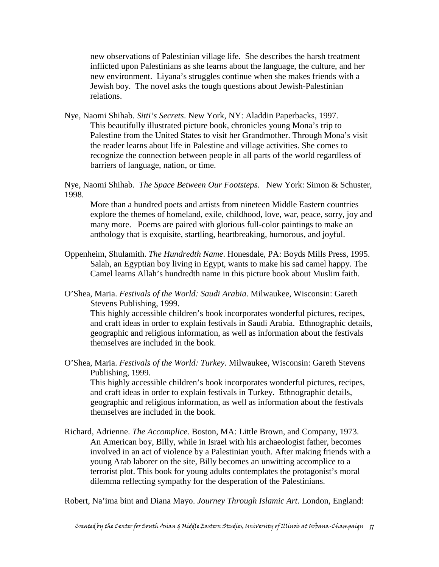new observations of Palestinian village life. She describes the harsh treatment inflicted upon Palestinians as she learns about the language, the culture, and her new environment. Liyana's struggles continue when she makes friends with a Jewish boy. The novel asks the tough questions about Jewish-Palestinian relations.

Nye, Naomi Shihab. *Sitti's Secrets*. New York, NY: Aladdin Paperbacks, 1997. This beautifully illustrated picture book, chronicles young Mona's trip to Palestine from the United States to visit her Grandmother. Through Mona's visit the reader learns about life in Palestine and village activities. She comes to recognize the connection between people in all parts of the world regardless of barriers of language, nation, or time.

Nye, Naomi Shihab. *The Space Between Our Footsteps.* New York: Simon & Schuster, 1998.

More than a hundred poets and artists from nineteen Middle Eastern countries explore the themes of homeland, exile, childhood, love, war, peace, sorry, joy and many more. Poems are paired with glorious full-color paintings to make an anthology that is exquisite, startling, heartbreaking, humorous, and joyful.

- Oppenheim, Shulamith. *The Hundredth Name*. Honesdale, PA: Boyds Mills Press, 1995. Salah, an Egyptian boy living in Egypt, wants to make his sad camel happy. The Camel learns Allah's hundredth name in this picture book about Muslim faith.
- O'Shea, Maria. *Festivals of the World: Saudi Arabia*. Milwaukee, Wisconsin: Gareth Stevens Publishing, 1999.

This highly accessible children's book incorporates wonderful pictures, recipes, and craft ideas in order to explain festivals in Saudi Arabia. Ethnographic details, geographic and religious information, as well as information about the festivals themselves are included in the book.

O'Shea, Maria. *Festivals of the World: Turkey*. Milwaukee, Wisconsin: Gareth Stevens Publishing, 1999.

This highly accessible children's book incorporates wonderful pictures, recipes, and craft ideas in order to explain festivals in Turkey. Ethnographic details, geographic and religious information, as well as information about the festivals themselves are included in the book.

Richard, Adrienne. *The Accomplice*. Boston, MA: Little Brown, and Company, 1973. An American boy, Billy, while in Israel with his archaeologist father, becomes involved in an act of violence by a Palestinian youth. After making friends with a young Arab laborer on the site, Billy becomes an unwitting accomplice to a terrorist plot. This book for young adults contemplates the protagonist's moral dilemma reflecting sympathy for the desperation of the Palestinians.

Robert, Na'ima bint and Diana Mayo. *Journey Through Islamic Art*. London, England: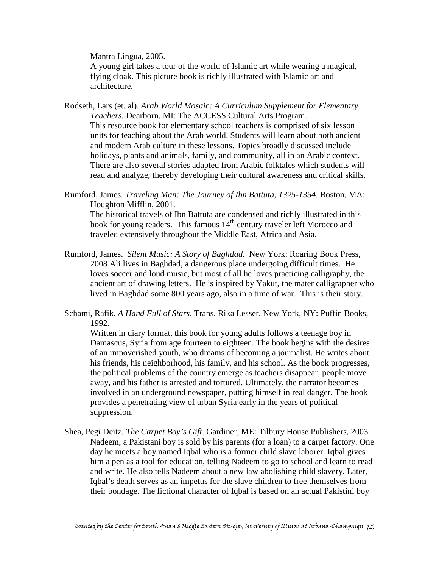Mantra Lingua, 2005.

 A young girl takes a tour of the world of Islamic art while wearing a magical, flying cloak. This picture book is richly illustrated with Islamic art and architecture.

Rodseth, Lars (et. al). *Arab World Mosaic: A Curriculum Supplement for Elementary Teachers.* Dearborn, MI: The ACCESS Cultural Arts Program. This resource book for elementary school teachers is comprised of six lesson units for teaching about the Arab world. Students will learn about both ancient and modern Arab culture in these lessons. Topics broadly discussed include holidays, plants and animals, family, and community, all in an Arabic context. There are also several stories adapted from Arabic folktales which students will read and analyze, thereby developing their cultural awareness and critical skills.

Rumford, James. *Traveling Man: The Journey of Ibn Battuta, 1325-1354*. Boston, MA: Houghton Mifflin, 2001.

 The historical travels of Ibn Battuta are condensed and richly illustrated in this book for young readers. This famous 14<sup>th</sup> century traveler left Morocco and traveled extensively throughout the Middle East, Africa and Asia.

- Rumford, James. *Silent Music: A Story of Baghdad.* New York: Roaring Book Press, 2008 Ali lives in Baghdad, a dangerous place undergoing difficult times. He loves soccer and loud music, but most of all he loves practicing calligraphy, the ancient art of drawing letters. He is inspired by Yakut, the mater calligrapher who lived in Baghdad some 800 years ago, also in a time of war. This is their story.
- Schami, Rafik. *A Hand Full of Stars*. Trans. Rika Lesser. New York, NY: Puffin Books, 1992.

Written in diary format, this book for young adults follows a teenage boy in Damascus, Syria from age fourteen to eighteen. The book begins with the desires of an impoverished youth, who dreams of becoming a journalist. He writes about his friends, his neighborhood, his family, and his school. As the book progresses, the political problems of the country emerge as teachers disappear, people move away, and his father is arrested and tortured. Ultimately, the narrator becomes involved in an underground newspaper, putting himself in real danger. The book provides a penetrating view of urban Syria early in the years of political suppression.

Shea, Pegi Deitz. *The Carpet Boy's Gift*. Gardiner, ME: Tilbury House Publishers, 2003. Nadeem, a Pakistani boy is sold by his parents (for a loan) to a carpet factory. One day he meets a boy named Iqbal who is a former child slave laborer. Iqbal gives him a pen as a tool for education, telling Nadeem to go to school and learn to read and write. He also tells Nadeem about a new law abolishing child slavery. Later, Iqbal's death serves as an impetus for the slave children to free themselves from their bondage. The fictional character of Iqbal is based on an actual Pakistini boy